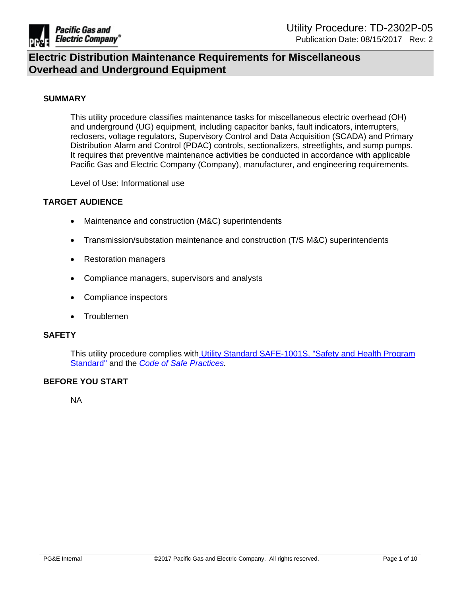

### **SUMMARY**

This utility procedure classifies maintenance tasks for miscellaneous electric overhead (OH) and underground (UG) equipment, including capacitor banks, fault indicators, interrupters, reclosers, voltage regulators, Supervisory Control and Data Acquisition (SCADA) and Primary Distribution Alarm and Control (PDAC) controls, sectionalizers, streetlights, and sump pumps. It requires that preventive maintenance activities be conducted in accordance with applicable Pacific Gas and Electric Company (Company), manufacturer, and engineering requirements.

Level of Use: Informational use

### **TARGET AUDIENCE**

- Maintenance and construction (M&C) superintendents
- Transmission/substation maintenance and construction (T/S M&C) superintendents
- Restoration managers
- Compliance managers, supervisors and analysts
- Compliance inspectors
- Troublemen

#### **SAFETY**

This utility procedure complies with Utility Standard [SAFE-1001S,](http://wwwedm3/cgi-bin/getdocTDM.asp?itemid=005608094) "Safety and Health Program [Standard"](http://wwwedm3/cgi-bin/getdocTDM.asp?itemid=005608094) and the *Code of Safe [Practices](http://pgeatwork/SHC/ToolsResources/Manuals/Pages/CSP.aspx).*

### **BEFORE YOU START**

NA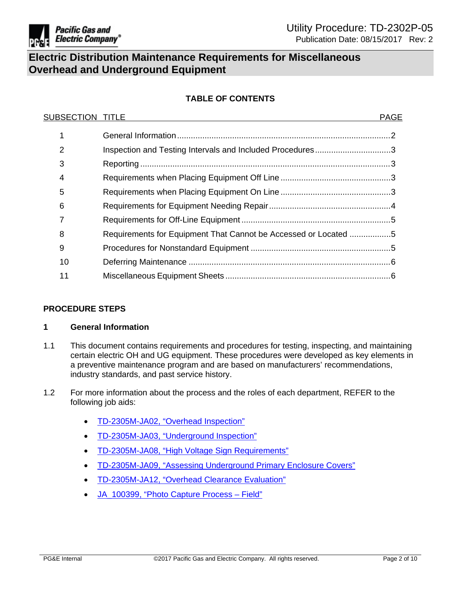

## **TABLE OF CONTENTS**

| <b>SUBSECTION TITLE</b> |                                                                 | <b>PAGE</b> |
|-------------------------|-----------------------------------------------------------------|-------------|
|                         |                                                                 |             |
| 2                       | Inspection and Testing Intervals and Included Procedures3       |             |
| 3                       |                                                                 |             |
| 4                       |                                                                 |             |
| 5                       |                                                                 |             |
| 6                       |                                                                 |             |
|                         |                                                                 |             |
| 8                       | Requirements for Equipment That Cannot be Accessed or Located 5 |             |
| 9                       |                                                                 |             |
| 10                      |                                                                 |             |
| 11                      |                                                                 |             |

## **PROCEDURE STEPS**

## <span id="page-1-0"></span>**1 General Information**

- 1.1 This document contains requirements and procedures for testing, inspecting, and maintaining certain electric OH and UG equipment. These procedures were developed as key elements in a preventive maintenance program and are based on manufacturers' recommendations, industry standards, and past service history.
- <span id="page-1-1"></span>1.2 For more information about the process and the roles of each department, REFER to the following job aids:
	- [TD-2305M-JA02,](https://edrm.comp.pge.com/D2/?docbase=pge_ecm&commandEvent=D2_ACTION_CONTENT_VIEW&locateDql=pge_document(all)%20where%20i_chronicle_id%20=) "Overhead Inspection"
	- [TD-2305M-JA03,](https://edrm.comp.pge.com/D2/?docbase=pge_ecm&commandEvent=D2_ACTION_CONTENT_VIEW&locateDql=pge_document(all)%20where%20i_chronicle_id%20=) "Underground Inspection"
	- [TD-2305M-JA08,](https://edrm.comp.pge.com/D2/?docbase=pge_ecm&commandEvent=D2_ACTION_CONTENT_VIEW&locateDql=pge_document(all)%20where%20i_chronicle_id%20=) "High Voltage Sign Requirements"
	- [TD-2305M-JA09,](https://edrm.comp.pge.com/D2/?docbase=pge_ecm&commandEvent=D2_ACTION_CONTENT_VIEW&locateDql=pge_document(all)%20where%20i_chronicle_id%20=) "Assessing Underground Primary Enclosure Covers"
	- [TD-2305M-JA12,](https://edrm.comp.pge.com/D2/?docbase=pge_ecm&commandEvent=D2_ACTION_CONTENT_VIEW&locateDql=pge_document(all)%20where%20i_chronicle_id%20=) "Overhead Clearance Evaluation"
	- [JA\\_100399,](https://sps.utility.pge.com/sites/eoEDM/EDPM/2011%20EDPM%20Manual/EC%20Photo%20Capture%20Process-Field%20(Rev%20E1%2002032014).pptx) "Photo Capture Process Field"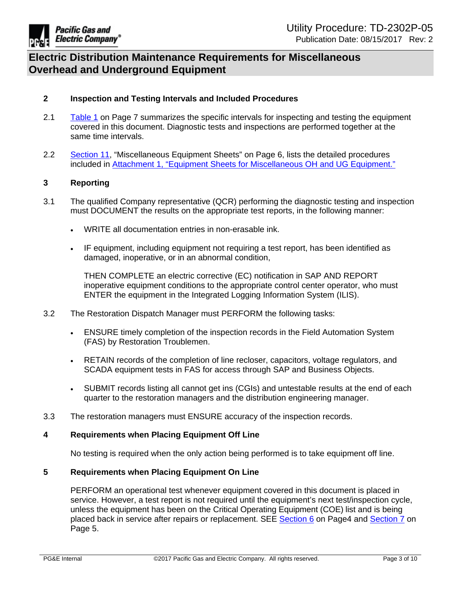

## **2 Inspection and Testing Intervals and Included Procedures**

- 2.1 [Table](#page-6-0) 1 on Page 7 summarizes the specific intervals for inspecting and testing the equipment covered in this document. Diagnostic tests and inspections are performed together at the same time intervals.
- 2.2 [Section](#page-5-0) 11, "Miscellaneous Equipment Sheets" on Page 6, lists the detailed procedures included in Attachment 1, "Equipment Sheets for [Miscellaneous](https://edrm.comp.pge.com/D2/?docbase=pge_ecm&commandEvent=D2_ACTION_CONTENT_VIEW&locateDql=pge_document(all)%20where%20i_chronicle_id%20=) OH and UG Equipment."

## <span id="page-2-0"></span>**3 Reporting**

- 3.1 The qualified Company representative (QCR) performing the diagnostic testing and inspection must DOCUMENT the results on the appropriate test reports, in the following manner:
	- WRITE all documentation entries in non-erasable ink.
	- IF equipment, including equipment not requiring a test report, has been identified as damaged, inoperative, or in an abnormal condition,

THEN COMPLETE an electric corrective (EC) notification in SAP AND REPORT inoperative equipment conditions to the appropriate control center operator, who must ENTER the equipment in the Integrated Logging Information System (ILIS).

- 3.2 The Restoration Dispatch Manager must PERFORM the following tasks:
	- ENSURE timely completion of the inspection records in the Field Automation System (FAS) by Restoration Troublemen.
	- RETAIN records of the completion of line recloser, capacitors, voltage regulators, and SCADA equipment tests in FAS for access through SAP and Business Objects.
	- SUBMIT records listing all cannot get ins (CGIs) and untestable results at the end of each quarter to the restoration managers and the distribution engineering manager.
- 3.3 The restoration managers must ENSURE accuracy of the inspection records.

### <span id="page-2-1"></span>**4 Requirements when Placing Equipment Off Line**

No testing is required when the only action being performed is to take equipment off line.

## <span id="page-2-2"></span>**5 Requirements when Placing Equipment On Line**

<span id="page-2-3"></span>PERFORM an operational test whenever equipment covered in this document is placed in service. However, a test report is not required until the equipment's next test/inspection cycle, unless the equipment has been on the Critical Operating Equipment (COE) list and is being placed back in service after repairs or replacement. SEE [Section](#page-3-1) 6 on Page4 and [Section](#page-3-0) 7 on Page 5.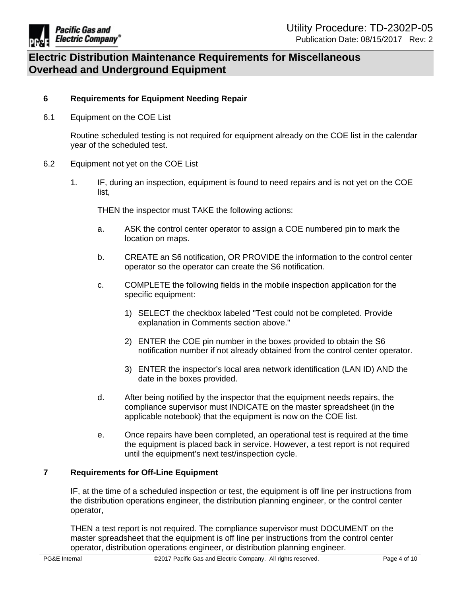

## **6 Requirements for Equipment Needing Repair**

6.1 Equipment on the COE List

<span id="page-3-1"></span>Routine scheduled testing is not required for equipment already on the COE list in the calendar year of the scheduled test.

- 6.2 Equipment not yet on the COE List
	- 1. IF, during an inspection, equipment is found to need repairs and is not yet on the COE list,

THEN the inspector must TAKE the following actions:

- a. ASK the control center operator to assign a COE numbered pin to mark the location on maps.
- b. CREATE an S6 notification, OR PROVIDE the information to the control center operator so the operator can create the S6 notification.
- c. COMPLETE the following fields in the mobile inspection application for the specific equipment:
	- 1) SELECT the checkbox labeled "Test could not be completed. Provide explanation in Comments section above."
	- 2) ENTER the COE pin number in the boxes provided to obtain the S6 notification number if not already obtained from the control center operator.
	- 3) ENTER the inspector's local area network identification (LAN ID) AND the date in the boxes provided.
- d. After being notified by the inspector that the equipment needs repairs, the compliance supervisor must INDICATE on the master spreadsheet (in the applicable notebook) that the equipment is now on the COE list.
- e. Once repairs have been completed, an operational test is required at the time the equipment is placed back in service. However, a test report is not required until the equipment's next test/inspection cycle.

## <span id="page-3-0"></span>**7 Requirements for Off-Line Equipment**

IF, at the time of a scheduled inspection or test, the equipment is off line per instructions from the distribution operations engineer, the distribution planning engineer, or the control center operator,

THEN a test report is not required. The compliance supervisor must DOCUMENT on the master spreadsheet that the equipment is off line per instructions from the control center operator, distribution operations engineer, or distribution planning engineer.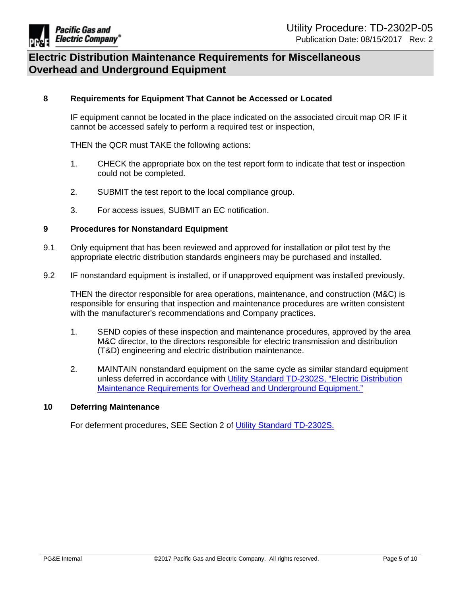

### <span id="page-4-0"></span>**8 Requirements for Equipment That Cannot be Accessed or Located**

IF equipment cannot be located in the place indicated on the associated circuit map OR IF it cannot be accessed safely to perform a required test or inspection,

THEN the QCR must TAKE the following actions:

- 1. CHECK the appropriate box on the test report form to indicate that test or inspection could not be completed.
- 2. SUBMIT the test report to the local compliance group.
- 3. For access issues, SUBMIT an EC notification.

#### <span id="page-4-1"></span>**9 Procedures for Nonstandard Equipment**

- 9.1 Only equipment that has been reviewed and approved for installation or pilot test by the appropriate electric distribution standards engineers may be purchased and installed.
- 9.2 IF nonstandard equipment is installed, or if unapproved equipment was installed previously,

THEN the director responsible for area operations, maintenance, and construction (M&C) is responsible for ensuring that inspection and maintenance procedures are written consistent with the manufacturer's recommendations and Company practices.

- 1. SEND copies of these inspection and maintenance procedures, approved by the area M&C director, to the directors responsible for electric transmission and distribution (T&D) engineering and electric distribution maintenance.
- <span id="page-4-2"></span>2. MAINTAIN nonstandard equipment on the same cycle as similar standard equipment unless deferred in accordance with Utility Standard TD-2302S, "Electric [Distribution](http://www/techlib/default.asp?body=manuals/uo_standards/s2302.htm) Maintenance [Requirements](http://www/techlib/default.asp?body=manuals/uo_standards/s2302.htm) for Overhead and Underground Equipment."

#### **10 Deferring Maintenance**

<span id="page-4-3"></span>For deferment procedures, SEE Section 2 of Utility Standard [TD-2302S.](http://www/techlib/default.asp?body=manuals/uo_standards/s2302.htm)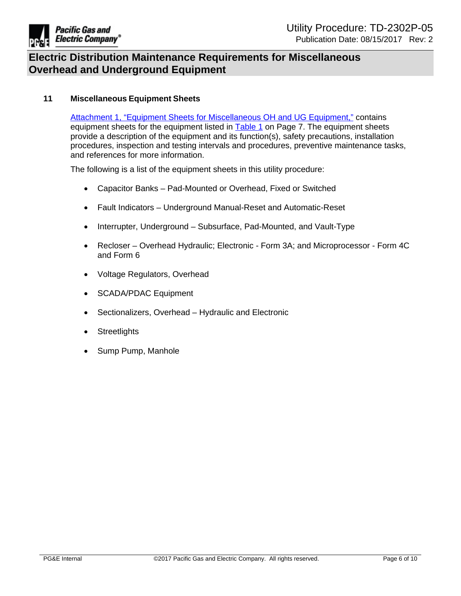

## **11 Miscellaneous Equipment Sheets**

<span id="page-5-0"></span>Attachment 1, "Equipment Sheets for [Miscellaneous](https://edrm.comp.pge.com/D2/?docbase=pge_ecm&commandEvent=D2_ACTION_CONTENT_VIEW&locateDql=pge_document(all)%20where%20i_chronicle_id%20=) OH and UG Equipment," contains equipment sheets for the equipment listed in [Table](#page-6-0) 1 on Page 7. The equipment sheets provide a description of the equipment and its function(s), safety precautions, installation procedures, inspection and testing intervals and procedures, preventive maintenance tasks, and references for more information.

The following is a list of the equipment sheets in this utility procedure:

- Capacitor Banks Pad-Mounted or Overhead, Fixed or Switched
- Fault Indicators Underground Manual-Reset and Automatic-Reset
- Interrupter, Underground Subsurface, Pad-Mounted, and Vault-Type
- Recloser Overhead Hydraulic; Electronic Form 3A; and Microprocessor Form 4C and Form 6
- Voltage Regulators, Overhead
- SCADA/PDAC Equipment
- Sectionalizers, Overhead Hydraulic and Electronic
- Streetlights
- Sump Pump, Manhole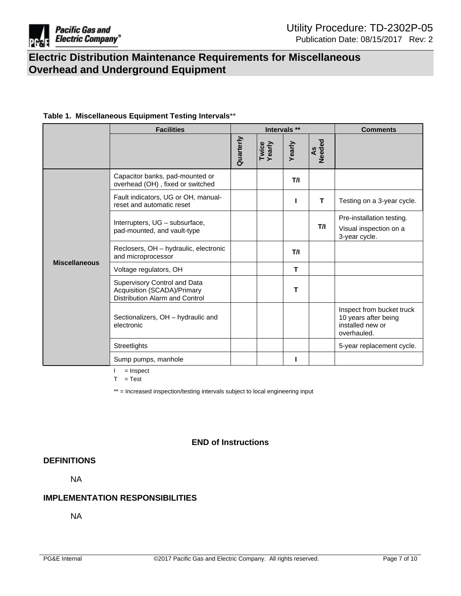

### <span id="page-6-0"></span>**Table 1. Miscellaneous Equipment Testing Intervals**\*\*

|                      | <b>Facilities</b>                                                                             | Intervals ** |                 |             | <b>Comments</b> |                                                                                      |
|----------------------|-----------------------------------------------------------------------------------------------|--------------|-----------------|-------------|-----------------|--------------------------------------------------------------------------------------|
|                      |                                                                                               | Quarterly    | Twice<br>Yearly | Yearly      | As<br>Needed    |                                                                                      |
| <b>Miscellaneous</b> | Capacitor banks, pad-mounted or<br>overhead (OH), fixed or switched                           |              |                 | T/I         |                 |                                                                                      |
|                      | Fault indicators, UG or OH, manual-<br>reset and automatic reset                              |              |                 | ı           | T               | Testing on a 3-year cycle.                                                           |
|                      | Interrupters, UG - subsurface,<br>pad-mounted, and vault-type                                 |              |                 |             | T/I             | Pre-installation testing.<br>Visual inspection on a<br>3-year cycle.                 |
|                      | Reclosers, OH - hydraulic, electronic<br>and microprocessor                                   |              |                 | T/I         |                 |                                                                                      |
|                      | Voltage regulators, OH                                                                        |              |                 | $\mathbf T$ |                 |                                                                                      |
|                      | Supervisory Control and Data<br>Acquisition (SCADA)/Primary<br>Distribution Alarm and Control |              |                 | т           |                 |                                                                                      |
|                      | Sectionalizers, OH - hydraulic and<br>electronic                                              |              |                 |             |                 | Inspect from bucket truck<br>10 years after being<br>installed new or<br>overhauled. |
|                      | Streetlights                                                                                  |              |                 |             |                 | 5-year replacement cycle.                                                            |
|                      | Sump pumps, manhole                                                                           |              |                 |             |                 |                                                                                      |

 $I =$  Inspect

 $T = Test$ 

\*\* = Increased inspection/testing intervals subject to local engineering input

## **END of Instructions**

## **DEFINITIONS**

NA

### **IMPLEMENTATION RESPONSIBILITIES**

NA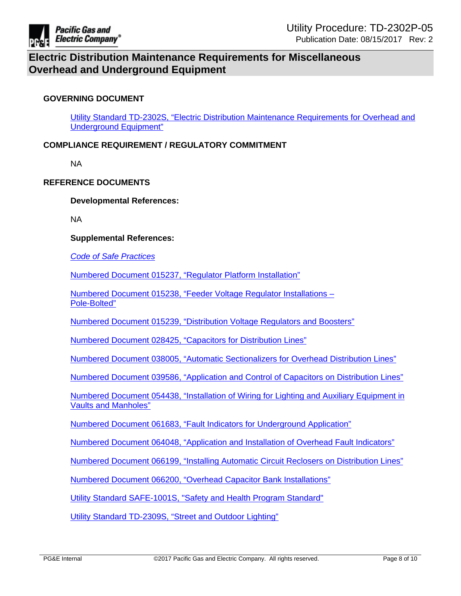

## **GOVERNING DOCUMENT**

Utility Standard TD-2302S, "Electric Distribution Maintenance [Requirements](http://www/techlib/default.asp?body=manuals/uo_standards/s2302.htm) for Overhead and [Underground](http://www/techlib/default.asp?body=manuals/uo_standards/s2302.htm) Equipment"

## **COMPLIANCE REQUIREMENT / REGULATORY COMMITMENT**

NA

### **REFERENCE DOCUMENTS**

**Developmental References:**

NA

#### **Supplemental References:**

*Code of Safe [Practices](http://pgeatwork/SHC/ToolsResources/Manuals/Pages/CSP.aspx)*

Numbered Document 015237, "Regulator Platform [Installation"](http://wwwedm3/cgi-bin/getdocTDM.asp?itemid=981530049)

Numbered Document 015238, "Feeder Voltage Regulator [Installations](http://wwwedm3/cgi-bin/getdocTDM.asp?itemid=981560010) – [Pole-Bolted"](http://wwwedm3/cgi-bin/getdocTDM.asp?itemid=981560010)

Numbered Document 015239, ["Distribution](http://wwwedm3/cgi-bin/getdocTDM.asp?itemid=981530050) Voltage Regulators and Boosters"

Numbered Document 028425, ["Capacitors](http://wwwedm3/cgi-bin/getdocTDM.asp?itemid=981550009) for Distribution Lines"

Numbered Document 038005, "Automatic [Sectionalizers](http://wwwedm3/cgi-bin/getdocTDM.asp?itemid=981530057) for Overhead Distribution Lines"

Numbered Document 039586, ["Application](http://wwwedm3/cgi-bin/getdocTDM.asp?itemid=981550010) and Control of Capacitors on Distribution Lines"

Numbered Document 054438, ["Installation](http://wwwedm3/cgi-bin/getdocTDM.asp?itemid=993130048) of Wiring for Lighting and Auxiliary Equipment in Vaults and [Manholes"](http://wwwedm3/cgi-bin/getdocTDM.asp?itemid=993130048)

Numbered Document 061683, "Fault Indicators for [Underground](http://wwwedm3/cgi-bin/getdocTDM.asp?itemid=981900032) Application"

Numbered Document 064048, ["Application](http://wwwedm3/cgi-bin/getdocTDM.asp?itemid=981550048) and Installation of Overhead Fault Indicators"

Numbered Document 066199, "Installing Automatic Circuit Reclosers on [Distribution](http://wwwedm3/cgi-bin/getdocTDM.asp?itemid=981600037) Lines"

Numbered Document 066200, "Overhead Capacitor Bank [Installations"](http://wwwedm3/cgi-bin/getdocTDM.asp?itemid=981600028)

Utility Standard [SAFE-1001S,](http://wwwedm3/cgi-bin/getdocTDM.asp?itemid=005608094) "Safety and Health Program Standard"

Utility Standard [TD-2309S,](https://edrm.comp.pge.com/D2/?docbase=pge_ecm&commandEvent=D2_ACTION_CONTENT_VIEW&locateDql=pge_document(all)%20where%20i_chronicle_id%20=) "Street and Outdoor Lighting"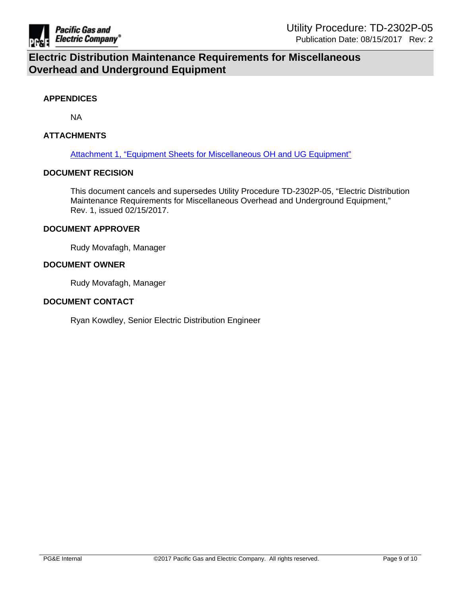

#### **APPENDICES**

NA

### **ATTACHMENTS**

Attachment 1, "Equipment Sheets for [Miscellaneous](https://edrm.comp.pge.com/D2/?docbase=pge_ecm&commandEvent=D2_ACTION_CONTENT_VIEW&locateDql=pge_document(all)%20where%20i_chronicle_id%20=) OH and UG Equipment"

#### **DOCUMENT RECISION**

This document cancels and supersedes Utility Procedure TD-2302P-05, "Electric Distribution Maintenance Requirements for Miscellaneous Overhead and Underground Equipment," Rev. 1, issued 02/15/2017.

#### **DOCUMENT APPROVER**

Rudy Movafagh, Manager

#### **DOCUMENT OWNER**

Rudy Movafagh, Manager

#### **DOCUMENT CONTACT**

Ryan Kowdley, Senior Electric Distribution Engineer